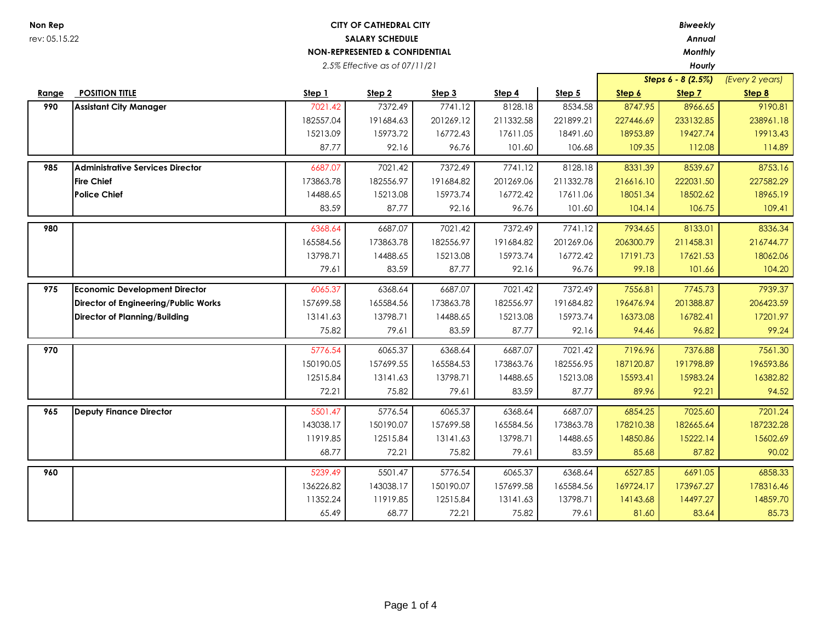## **Non Rep** *Biweekly* **CITY OF CATHEDRAL CITY** rev: 05.15.22 *Annual*  **SALARY SCHEDULE NON-REPRESENTED & CONFIDENTIAL** *Monthly*

*2.5% Effective as of 07/11/21*

*Hourly*

|       |                                         |           |                   |           |                   |           |           | Steps 6 - 8 (2.5%) | (Every 2 years) |
|-------|-----------------------------------------|-----------|-------------------|-----------|-------------------|-----------|-----------|--------------------|-----------------|
| Range | <b>POSITION TITLE</b>                   | Step 1    | Step <sub>2</sub> | Step 3    | Step 4            | Step 5    | Step 6    | Step 7             | Step 8          |
| 990   | <b>Assistant City Manager</b>           | 7021.42   | 7372.49           | 7741.12   | 8128.18           | 8534.58   | 8747.95   | 8966.65            | 9190.81         |
|       |                                         | 182557.04 | 191684.63         | 201269.12 | 211332.58         | 221899.21 | 227446.69 | 233132.85          | 238961.18       |
|       |                                         | 15213.09  | 15973.72          | 16772.43  | 17611.05          | 18491.60  | 18953.89  | 19427.74           | 19913.43        |
|       |                                         | 87.77     | 92.16             | 96.76     | 101.60            | 106.68    | 109.35    | 112.08             | 114.89          |
| 985   | <b>Administrative Services Director</b> | 6687.07   | 7021.42           | 7372.49   | 7741.12           | 8128.18   | 8331.39   | 8539.67            | 8753.16         |
|       | <b>Fire Chief</b>                       | 173863.78 | 182556.97         | 191684.82 | 201269.06         | 211332.78 | 216616.10 | 222031.50          | 227582.29       |
|       | <b>Police Chief</b>                     | 14488.65  | 15213.08          | 15973.74  | 16772.42          | 17611.06  | 18051.34  | 18502.62           | 18965.19        |
|       |                                         | 83.59     | 87.77             | 92.16     | 96.76             | 101.60    | 104.14    | 106.75             | 109.41          |
| 980   |                                         | 6368.64   | 6687.07           | 7021.42   | 7372.49           | 7741.12   | 7934.65   | 8133.01            | 8336.34         |
|       |                                         | 165584.56 | 173863.78         | 182556.97 | 191684.82         | 201269.06 | 206300.79 | 211458.31          | 216744.77       |
|       |                                         | 13798.71  | 14488.65          | 15213.08  | 15973.74          | 16772.42  | 17191.73  | 17621.53           | 18062.06        |
|       |                                         | 79.61     | 83.59             | 87.77     | 92.16             | 96.76     | 99.18     | 101.66             | 104.20          |
| 975   | <b>Economic Development Director</b>    | 6065.37   | 6368.64           | 6687.07   | 7021.42           | 7372.49   | 7556.81   | 7745.73            | 7939.37         |
|       |                                         |           | 165584.56         | 173863.78 | 182556.97         | 191684.82 | 196476.94 | 201388.87          | 206423.59       |
|       | Director of Engineering/Public Works    | 157699.58 |                   |           |                   |           |           |                    | 17201.97        |
|       | <b>Director of Planning/Building</b>    | 13141.63  | 13798.71          | 14488.65  | 15213.08<br>87.77 | 15973.74  | 16373.08  | 16782.41           |                 |
|       |                                         | 75.82     | 79.61             | 83.59     |                   | 92.16     | 94.46     | 96.82              | 99.24           |
| 970   |                                         | 5776.54   | 6065.37           | 6368.64   | 6687.07           | 7021.42   | 7196.96   | 7376.88            | 7561.30         |
|       |                                         | 150190.05 | 157699.55         | 165584.53 | 173863.76         | 182556.95 | 187120.87 | 191798.89          | 196593.86       |
|       |                                         | 12515.84  | 13141.63          | 13798.71  | 14488.65          | 15213.08  | 15593.41  | 15983.24           | 16382.82        |
|       |                                         | 72.21     | 75.82             | 79.61     | 83.59             | 87.77     | 89.96     | 92.21              | 94.52           |
| 965   | <b>Deputy Finance Director</b>          | 5501.47   | 5776.54           | 6065.37   | 6368.64           | 6687.07   | 6854.25   | 7025.60            | 7201.24         |
|       |                                         | 143038.17 | 150190.07         | 157699.58 | 165584.56         | 173863.78 | 178210.38 | 182665.64          | 187232.28       |
|       |                                         | 11919.85  | 12515.84          | 13141.63  | 13798.71          | 14488.65  | 14850.86  | 15222.14           | 15602.69        |
|       |                                         | 68.77     | 72.21             | 75.82     | 79.61             | 83.59     | 85.68     | 87.82              | 90.02           |
| 960   |                                         | 5239.49   | 5501.47           | 5776.54   | 6065.37           | 6368.64   | 6527.85   | 6691.05            | 6858.33         |
|       |                                         | 136226.82 | 143038.17         | 150190.07 | 157699.58         | 165584.56 | 169724.17 | 173967.27          | 178316.46       |
|       |                                         | 11352.24  | 11919.85          | 12515.84  | 13141.63          | 13798.71  | 14143.68  | 14497.27           | 14859.70        |
|       |                                         | 65.49     | 68.77             | 72.21     | 75.82             | 79.61     | 81.60     | 83.64              | 85.73           |
|       |                                         |           |                   |           |                   |           |           |                    |                 |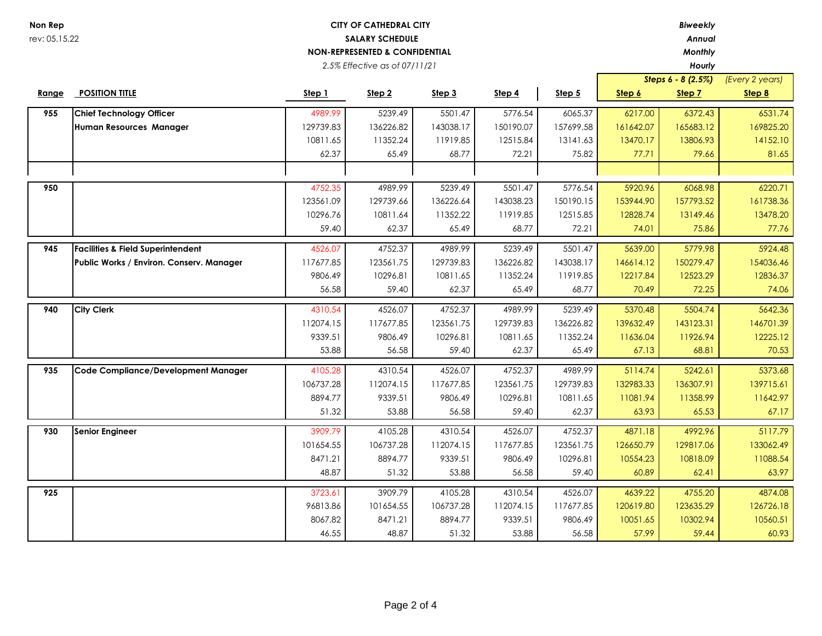| Non Rep       |                                              |                        | <b>CITY OF CATHEDRAL CITY</b>             |           |           |           |           | <b>Biweekly</b>    |                 |
|---------------|----------------------------------------------|------------------------|-------------------------------------------|-----------|-----------|-----------|-----------|--------------------|-----------------|
| rev: 05.15.22 |                                              | <b>SALARY SCHEDULE</b> |                                           |           |           |           | Annual    |                    |                 |
|               |                                              |                        | <b>NON-REPRESENTED &amp; CONFIDENTIAL</b> |           |           |           |           | Monthly            |                 |
|               |                                              |                        | 2.5% Effective as of 07/11/21             |           |           |           |           | Hourly             |                 |
|               |                                              |                        |                                           |           |           |           |           | Steps 6 - 8 (2.5%) | (Every 2 years) |
| Range         | <b>POSITION TITLE</b>                        | <u>Step 1</u>          | Step 2                                    | Step 3    | Step 4    | Step 5    | Step 6    | Step 7             | Step 8          |
| 955           | <b>Chief Technology Officer</b>              | 4989.99                | 5239.49                                   | 5501.47   | 5776.54   | 6065.37   | 6217.00   | 6372.43            | 6531.74         |
|               | Human Resources Manager                      | 129739.83              | 136226.82                                 | 143038.17 | 150190.07 | 157699.58 | 161642.07 | 165683.12          | 169825.20       |
|               |                                              | 10811.65               | 11352.24                                  | 11919.85  | 12515.84  | 13141.63  | 13470.17  | 13806.93           | 14152.10        |
|               |                                              | 62.37                  | 65.49                                     | 68.77     | 72.21     | 75.82     | 77.71     | 79.66              | 81.65           |
|               |                                              |                        |                                           |           |           |           |           |                    |                 |
| 950           |                                              | 4752.35                | 4989.99                                   | 5239.49   | 5501.47   | 5776.54   | 5920.96   | 6068.98            | 6220.71         |
|               |                                              | 123561.09              | 129739.66                                 | 136226.64 | 143038.23 | 150190.15 | 153944.90 | 157793.52          | 161738.36       |
|               |                                              | 10296.76               | 10811.64                                  | 11352.22  | 11919.85  | 12515.85  | 12828.74  | 13149.46           | 13478.20        |
|               |                                              | 59.40                  | 62.37                                     | 65.49     | 68.77     | 72.21     | 74.01     | 75.86              | 77.76           |
| 945           | <b>Facilities &amp; Field Superintendent</b> | 4526.07                | 4752.37                                   | 4989.99   | 5239.49   | 5501.47   | 5639.00   | 5779.98            | 5924.48         |
|               | Public Works / Environ. Conserv. Manager     | 117677.85              | 123561.75                                 | 129739.83 | 136226.82 | 143038.17 | 146614.12 | 150279.47          | 154036.46       |
|               |                                              | 9806.49                | 10296.81                                  | 10811.65  | 11352.24  | 11919.85  | 12217.84  | 12523.29           | 12836.37        |
|               |                                              | 56.58                  | 59.40                                     | 62.37     | 65.49     | 68.77     | 70.49     | 72.25              | 74.06           |
|               |                                              |                        |                                           |           |           |           |           |                    |                 |
| 940           | <b>City Clerk</b>                            | 4310.54                | 4526.07                                   | 4752.37   | 4989.99   | 5239.49   | 5370.48   | 5504.74            | 5642.36         |
|               |                                              | 112074.15              | 117677.85                                 | 123561.75 | 129739.83 | 136226.82 | 139632.49 | 143123.31          | 146701.39       |
|               |                                              | 9339.51                | 9806.49                                   | 10296.81  | 10811.65  | 11352.24  | 11636.04  | 11926.94           | 12225.12        |
|               |                                              | 53.88                  | 56.58                                     | 59.40     | 62.37     | 65.49     | 67.13     | 68.81              | 70.53           |
| 935           | Code Compliance/Development Manager          | 4105.28                | 4310.54                                   | 4526.07   | 4752.37   | 4989.99   | 5114.74   | 5242.61            | 5373.68         |
|               |                                              | 106737.28              | 112074.15                                 | 117677.85 | 123561.75 | 129739.83 | 132983.33 | 136307.91          | 139715.61       |
|               |                                              | 8894.77                | 9339.51                                   | 9806.49   | 10296.81  | 10811.65  | 11081.94  | 11358.99           | 11642.97        |
|               |                                              | 51.32                  | 53.88                                     | 56.58     | 59.40     | 62.37     | 63.93     | 65.53              | 67.17           |
| 930           | <b>Senior Engineer</b>                       | 3909.79                | 4105.28                                   | 4310.54   | 4526.07   | 4752.37   | 4871.18   | 4992.96            | 5117.79         |
|               |                                              | 101654.55              | 106737.28                                 | 112074.15 | 117677.85 | 123561.75 | 126650.79 | 129817.06          | 133062.49       |
|               |                                              | 8471.21                | 8894.77                                   | 9339.51   | 9806.49   | 10296.81  | 10554.23  | 10818.09           | 11088.54        |
|               |                                              | 48.87                  |                                           |           | 56.58     |           | 60.89     |                    |                 |
|               |                                              |                        | 51.32                                     | 53.88     |           | 59.40     |           | 62.41              | 63.97           |
| 925           |                                              | 3723.61                | 3909.79                                   | 4105.28   | 4310.54   | 4526.07   | 4639.22   | 4755.20            | 4874.08         |
|               |                                              | 96813.86               | 101654.55                                 | 106737.28 | 112074.15 | 117677.85 | 120619.80 | 123635.29          | 126726.18       |
|               |                                              | 8067.82                | 8471.21                                   | 8894.77   | 9339.51   | 9806.49   | 10051.65  | 10302.94           | 10560.51        |
|               |                                              | 46.55                  | 48.87                                     | 51.32     | 53.88     | 56.58     | 57.99     | 59.44              | 60.93           |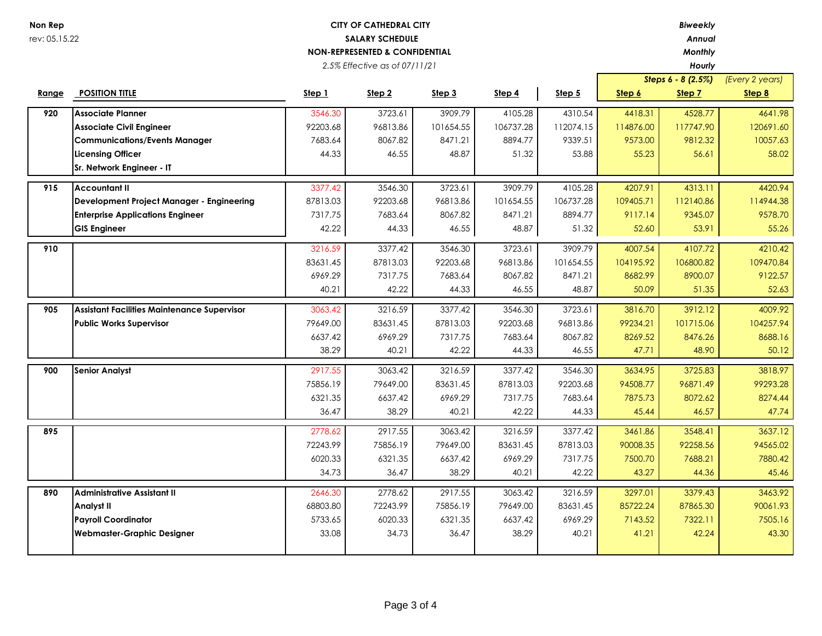## **Non Rep** *Biweekly* **CITY OF CATHEDRAL CITY** rev: 05.15.22 *Annual*  **SALARY SCHEDULE NON-REPRESENTED & CONFIDENTIAL** *Monthly*

*2.5% Effective as of 07/11/21*

*Hourly*

|       |                                                    |          |                   |           |           |           |               | Steps 6 - 8 (2.5%) | (Every 2 years) |
|-------|----------------------------------------------------|----------|-------------------|-----------|-----------|-----------|---------------|--------------------|-----------------|
| Range | <b>POSITION TITLE</b>                              | Step 1   | Step <sub>2</sub> | Step 3    | Step 4    | Step 5    | <u>Step 6</u> | Step 7             | Step 8          |
| 920   | <b>Associate Planner</b>                           | 3546.30  | 3723.61           | 3909.79   | 4105.28   | 4310.54   | 4418.31       | 4528.77            | 4641.98         |
|       | <b>Associate Civil Engineer</b>                    | 92203.68 | 96813.86          | 101654.55 | 106737.28 | 112074.15 | 114876.00     | 117747.90          | 120691.60       |
|       | <b>Communications/Events Manager</b>               | 7683.64  | 8067.82           | 8471.21   | 8894.77   | 9339.51   | 9573.00       | 9812.32            | 10057.63        |
|       | <b>Licensing Officer</b>                           | 44.33    | 46.55             | 48.87     | 51.32     | 53.88     | 55.23         | 56.61              | 58.02           |
|       | Sr. Network Engineer - IT                          |          |                   |           |           |           |               |                    |                 |
| 915   | <b>Accountant II</b>                               | 3377.42  | 3546.30           | 3723.61   | 3909.79   | 4105.28   | 4207.91       | 4313.11            | 4420.94         |
|       | Development Project Manager - Engineering          | 87813.03 | 92203.68          | 96813.86  | 101654.55 | 106737.28 | 109405.71     | 112140.86          | 114944.38       |
|       | <b>Enterprise Applications Engineer</b>            | 7317.75  | 7683.64           | 8067.82   | 8471.21   | 8894.77   | 9117.14       | 9345.07            | 9578.70         |
|       | <b>GIS Engineer</b>                                | 42.22    | 44.33             | 46.55     | 48.87     | 51.32     | 52.60         | 53.91              | 55.26           |
| 910   |                                                    | 3216.59  | 3377.42           | 3546.30   | 3723.61   | 3909.79   | 4007.54       | 4107.72            | 4210.42         |
|       |                                                    | 83631.45 | 87813.03          | 92203.68  | 96813.86  | 101654.55 | 104195.92     | 106800.82          | 109470.84       |
|       |                                                    | 6969.29  | 7317.75           | 7683.64   | 8067.82   | 8471.21   | 8682.99       | 8900.07            | 9122.57         |
|       |                                                    | 40.21    | 42.22             | 44.33     | 46.55     | 48.87     | 50.09         | 51.35              | 52.63           |
| 905   | <b>Assistant Facilities Maintenance Supervisor</b> | 3063.42  | 3216.59           | 3377.42   | 3546.30   | 3723.61   | 3816.70       | 3912.12            | 4009.92         |
|       | <b>Public Works Supervisor</b>                     | 79649.00 | 83631.45          | 87813.03  | 92203.68  | 96813.86  | 99234.21      | 101715.06          | 104257.94       |
|       |                                                    | 6637.42  | 6969.29           | 7317.75   | 7683.64   | 8067.82   | 8269.52       | 8476.26            | 8688.16         |
|       |                                                    | 38.29    | 40.21             | 42.22     | 44.33     | 46.55     | 47.71         | 48.90              | 50.12           |
| 900   | <b>Senior Analyst</b>                              | 2917.55  | 3063.42           | 3216.59   | 3377.42   | 3546.30   | 3634.95       | 3725.83            | 3818.97         |
|       |                                                    | 75856.19 | 79649.00          | 83631.45  | 87813.03  | 92203.68  | 94508.77      | 96871.49           | 99293.28        |
|       |                                                    | 6321.35  | 6637.42           | 6969.29   | 7317.75   | 7683.64   | 7875.73       | 8072.62            | 8274.44         |
|       |                                                    | 36.47    | 38.29             | 40.21     | 42.22     | 44.33     | 45.44         | 46.57              | 47.74           |
| 895   |                                                    | 2778.62  | 2917.55           | 3063.42   | 3216.59   | 3377.42   | 3461.86       | 3548.41            | 3637.12         |
|       |                                                    | 72243.99 | 75856.19          | 79649.00  | 83631.45  | 87813.03  | 90008.35      | 92258.56           | 94565.02        |
|       |                                                    | 6020.33  | 6321.35           | 6637.42   | 6969.29   | 7317.75   | 7500.70       | 7688.21            | 7880.42         |
|       |                                                    | 34.73    | 36.47             | 38.29     | 40.21     | 42.22     | 43.27         | 44.36              | 45.46           |
| 890   | <b>Administrative Assistant II</b>                 | 2646.30  | 2778.62           | 2917.55   | 3063.42   | 3216.59   | 3297.01       | 3379.43            | 3463.92         |
|       | <b>Analyst II</b>                                  | 68803.80 | 72243.99          | 75856.19  | 79649.00  | 83631.45  | 85722.24      | 87865.30           | 90061.93        |
|       | <b>Payroll Coordinator</b>                         | 5733.65  | 6020.33           | 6321.35   | 6637.42   | 6969.29   | 7143.52       | 7322.11            | 7505.16         |
|       | <b>Webmaster-Graphic Designer</b>                  | 33.08    | 34.73             | 36.47     | 38.29     | 40.21     | 41.21         | 42.24              | 43.30           |
|       |                                                    |          |                   |           |           |           |               |                    |                 |